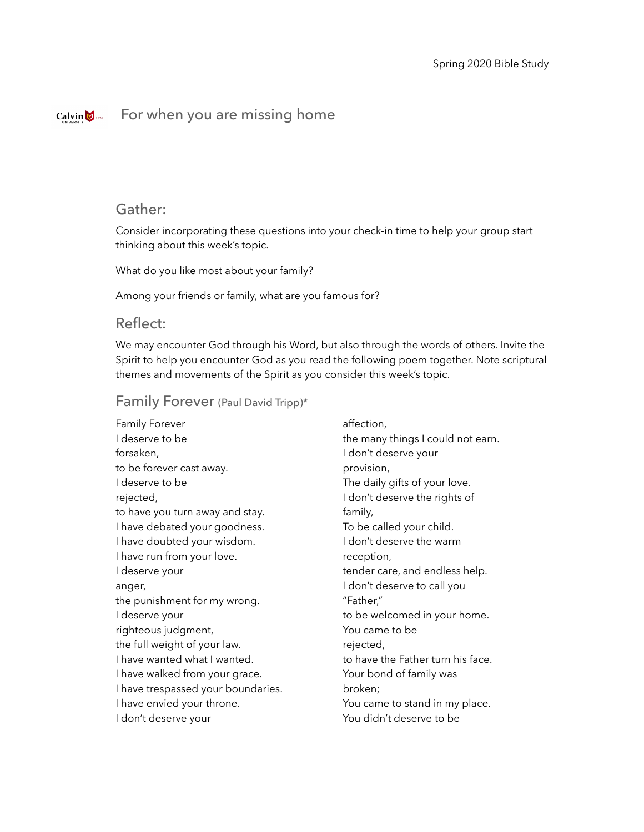#### For when you are missing homeCalvin  $\bigcup_{1876}$

# Gather:

Consider incorporating these questions into your check-in time to help your group start thinking about this week's topic.

What do you like most about your family?

Among your friends or family, what are you famous for?

# Reflect:

We may encounter God through his Word, but also through the words of others. Invite the Spirit to help you encounter God as you read the following poem together. Note scriptural themes and movements of the Spirit as you consider this week's topic.

## Family Forever (Paul David Tripp)\*

Family Forever I deserve to be forsaken, to be forever cast away. I deserve to be rejected, to have you turn away and stay. I have debated your goodness. I have doubted your wisdom. I have run from your love. I deserve your anger, the punishment for my wrong. I deserve your righteous judgment, the full weight of your law. I have wanted what I wanted. I have walked from your grace. I have trespassed your boundaries. I have envied your throne. I don't deserve your

affection, the many things I could not earn. I don't deserve your provision, The daily gifts of your love. I don't deserve the rights of family, To be called your child. I don't deserve the warm reception, tender care, and endless help. I don't deserve to call you "Father," to be welcomed in your home. You came to be rejected, to have the Father turn his face. Your bond of family was broken; You came to stand in my place. You didn't deserve to be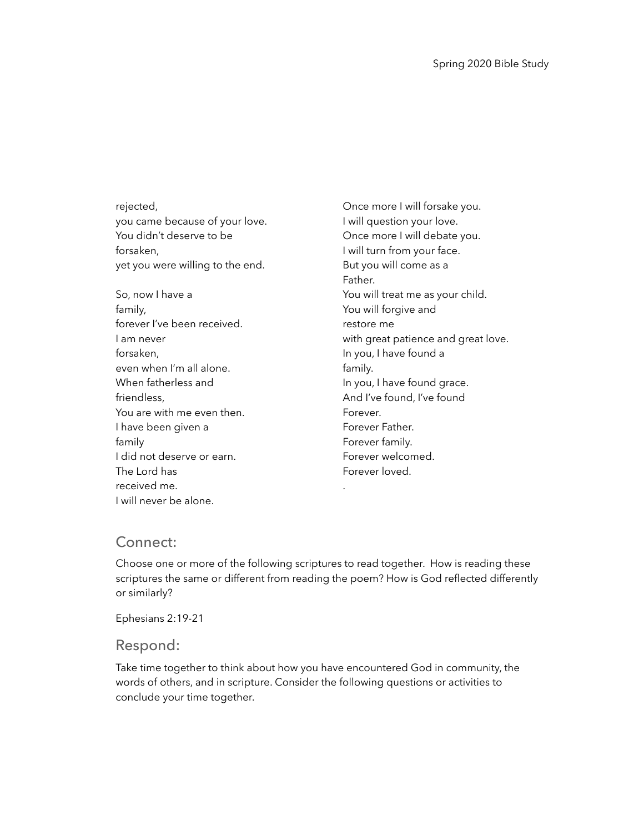rejected, you came because of your love. You didn't deserve to be forsaken, yet you were willing to the end.

So, now I have a family, forever I've been received. I am never forsaken, even when I'm all alone. When fatherless and friendless, You are with me even then. I have been given a family I did not deserve or earn. The Lord has received me. I will never be alone.

Once more I will forsake you. I will question your love. Once more I will debate you. I will turn from your face. But you will come as a Father. You will treat me as your child. You will forgive and restore me with great patience and great love. In you, I have found a family. In you, I have found grace. And I've found, I've found Forever. Forever Father. Forever family. Forever welcomed. Forever loved. .

# Connect:

Choose one or more of the following scriptures to read together. How is reading these scriptures the same or different from reading the poem? How is God reflected differently or similarly?

Ephesians 2:19-21

#### Respond:

Take time together to think about how you have encountered God in community, the words of others, and in scripture. Consider the following questions or activities to conclude your time together.